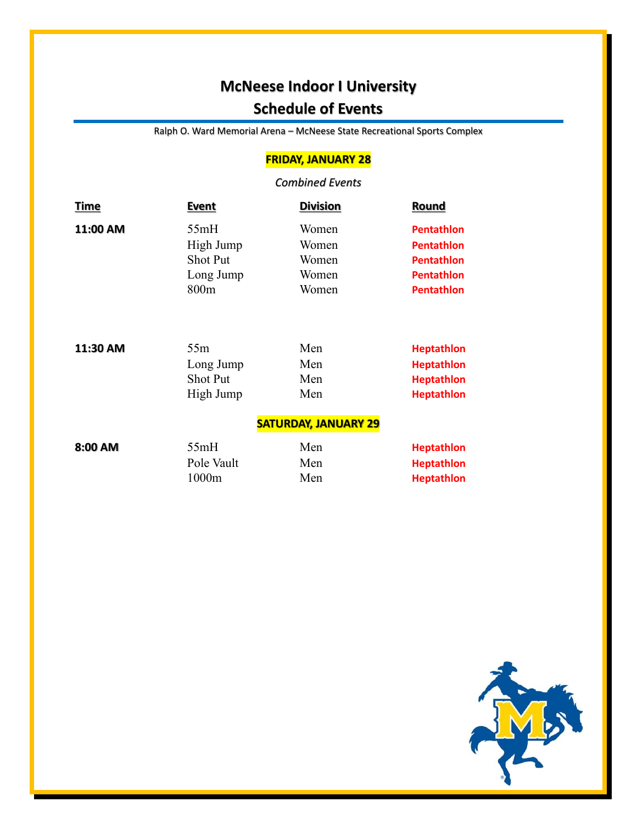# **McNeese Indoor I University Schedule of Events**

Ralph O. Ward Memorial Arena – McNeese State Recreational Sports Complex

### **FRIDAY, JANUARY 28**

#### *Combined Events*

| <u>Time</u> | <u>Event</u>                | <b>Division</b> | <b>Round</b>      |  |  |
|-------------|-----------------------------|-----------------|-------------------|--|--|
| 11:00 AM    | 55mH                        | Women           | <b>Pentathlon</b> |  |  |
|             | High Jump                   | Women           | <b>Pentathlon</b> |  |  |
|             | <b>Shot Put</b>             | Women           | <b>Pentathlon</b> |  |  |
|             | Long Jump                   | Women           | <b>Pentathlon</b> |  |  |
|             | 800m                        | Women           | <b>Pentathlon</b> |  |  |
|             |                             |                 |                   |  |  |
| 11:30 AM    | 55m                         | Men             | <b>Heptathlon</b> |  |  |
|             | Long Jump                   | Men             | <b>Heptathlon</b> |  |  |
|             | <b>Shot Put</b>             | Men             | <b>Heptathlon</b> |  |  |
|             | High Jump                   | Men             | <b>Heptathlon</b> |  |  |
|             | <b>SATURDAY, JANUARY 29</b> |                 |                   |  |  |
| 8:00 AM     | 55mH                        | Men             | <b>Heptathlon</b> |  |  |
|             | Pole Vault                  | Men             | <b>Heptathlon</b> |  |  |
|             | 1000m                       | Men             | <b>Heptathlon</b> |  |  |